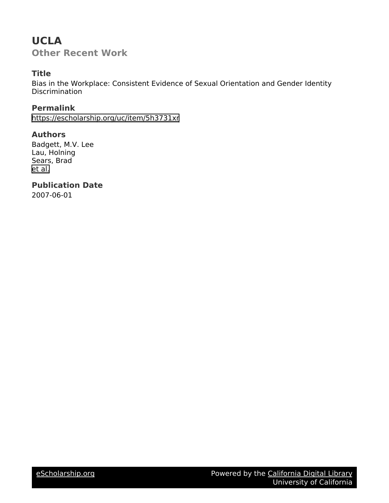## **UCLA Other Recent Work**

### **Title**

Bias in the Workplace: Consistent Evidence of Sexual Orientation and Gender Identity **Discrimination** 

**Permalink** <https://escholarship.org/uc/item/5h3731xr>

### **Authors**

Badgett, M.V. Lee Lau, Holning Sears, Brad [et al.](https://escholarship.org/uc/item/5h3731xr#author)

**Publication Date**

2007-06-01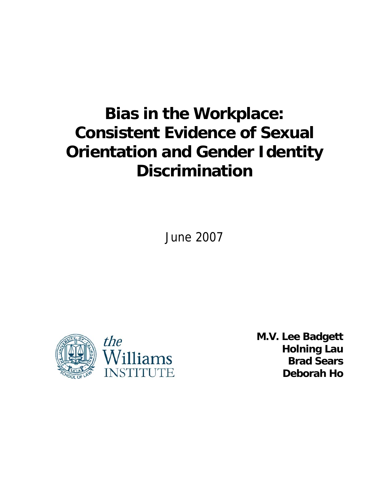# **Bias in the Workplace: Consistent Evidence of Sexual Orientation and Gender Identity Discrimination**

June 2007



**M.V. Lee Badgett Holning Lau Brad Sears Deborah Ho**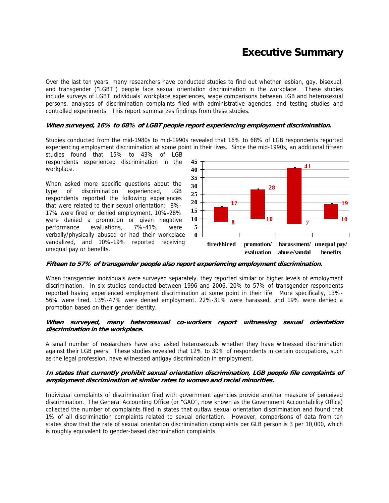Over the last ten years, many researchers have conducted studies to find out whether lesbian, gay, bisexual, and transgender ("LGBT") people face sexual orientation discrimination in the workplace. These studies include surveys of LGBT individuals' workplace experiences, wage comparisons between LGB and heterosexual persons, analyses of discrimination complaints filed with administrative agencies, and testing studies and controlled experiments. This report summarizes findings from these studies.

#### **When surveyed, 16% to 68% of LGBT people report experiencing employment discrimination.**

Studies conducted from the mid-1980s to mid-1990s revealed that 16% to 68% of LGB respondents reported experiencing employment discrimination at some point in their lives. Since the mid-1990s, an additional fifteen

studies found that 15% to 43% of LGB respondents experienced discrimination in the workplace.

When asked more specific questions about the type of discrimination experienced, LGB respondents reported the following experiences that were related to their sexual orientation: 8%- 17% were fired or denied employment, 10%-28% were denied a promotion or given negative performance evaluations, 7%-41% were verbally/physically abused or had their workplace vandalized, and 10%-19% reported receiving unequal pay or benefits.



#### **Fifteen to 57% of transgender people also report experiencing employment discrimination.**

When transgender individuals were surveyed separately, they reported similar or higher levels of employment discrimination. In six studies conducted between 1996 and 2006, 20% to 57% of transgender respondents reported having experienced employment discrimination at some point in their life. More specifically, 13%- 56% were fired, 13%-47% were denied employment, 22%-31% were harassed, and 19% were denied a promotion based on their gender identity.

#### **When surveyed, many heterosexual co-workers report witnessing sexual orientation discrimination in the workplace.**

A small number of researchers have also asked heterosexuals whether they have witnessed discrimination against their LGB peers. These studies revealed that 12% to 30% of respondents in certain occupations, such as the legal profession, have witnessed antigay discrimination in employment.

#### **In states that currently prohibit sexual orientation discrimination, LGB people file complaints of employment discrimination at similar rates to women and racial minorities.**

Individual complaints of discrimination filed with government agencies provide another measure of perceived discrimination. The General Accounting Office (or "GAO", now known as the Government Accountability Office) collected the number of complaints filed in states that outlaw sexual orientation discrimination and found that 1% of all discrimination complaints related to sexual orientation. However, comparisons of data from ten states show that the rate of sexual orientation discrimination complaints per GLB person is 3 per 10,000, which is roughly equivalent to gender-based discrimination complaints.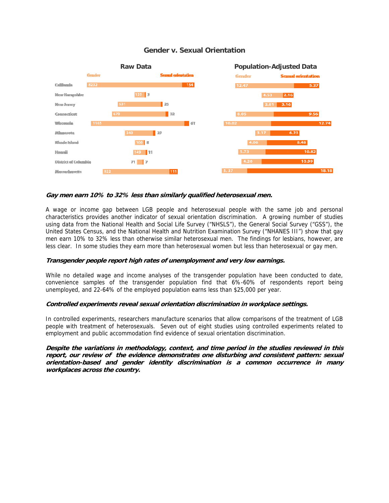

#### **Gender v. Sexual Orientation**

#### **Gay men earn 10% to 32% less than similarly qualified heterosexual men.**

A wage or income gap between LGB people and heterosexual people with the same job and personal characteristics provides another indicator of sexual orientation discrimination. A growing number of studies using data from the National Health and Social Life Survey ("NHSLS"), the General Social Survey ("GSS"), the United States Census, and the National Health and Nutrition Examination Survey ("NHANES III") show that gay men earn 10% to 32% less than otherwise similar heterosexual men. The findings for lesbians, however, are less clear. In some studies they earn more than heterosexual women but less than heterosexual or gay men.

#### **Transgender people report high rates of unemployment and very low earnings.**

While no detailed wage and income analyses of the transgender population have been conducted to date, convenience samples of the transgender population find that 6%-60% of respondents report being unemployed, and 22-64% of the employed population earns less than \$25,000 per year.

#### **Controlled experiments reveal sexual orientation discrimination in workplace settings.**

In controlled experiments, researchers manufacture scenarios that allow comparisons of the treatment of LGB people with treatment of heterosexuals. Seven out of eight studies using controlled experiments related to employment and public accommodation find evidence of sexual orientation discrimination.

**Despite the variations in methodology, context, and time period in the studies reviewed in this report, our review of the evidence demonstrates one disturbing and consistent pattern: sexual orientation-based and gender identity discrimination is a common occurrence in many workplaces across the country.**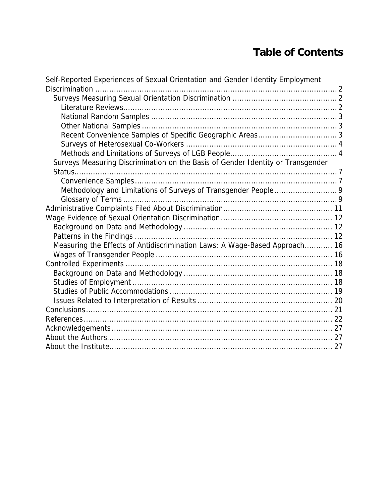| Self-Reported Experiences of Sexual Orientation and Gender Identity Employment  |  |
|---------------------------------------------------------------------------------|--|
|                                                                                 |  |
|                                                                                 |  |
|                                                                                 |  |
|                                                                                 |  |
|                                                                                 |  |
|                                                                                 |  |
|                                                                                 |  |
|                                                                                 |  |
| Surveys Measuring Discrimination on the Basis of Gender Identity or Transgender |  |
|                                                                                 |  |
|                                                                                 |  |
| Methodology and Limitations of Surveys of Transgender People 9                  |  |
|                                                                                 |  |
|                                                                                 |  |
|                                                                                 |  |
|                                                                                 |  |
|                                                                                 |  |
| Measuring the Effects of Antidiscrimination Laws: A Wage-Based Approach 16      |  |
|                                                                                 |  |
|                                                                                 |  |
|                                                                                 |  |
|                                                                                 |  |
|                                                                                 |  |
|                                                                                 |  |
|                                                                                 |  |
|                                                                                 |  |
|                                                                                 |  |
|                                                                                 |  |
|                                                                                 |  |
|                                                                                 |  |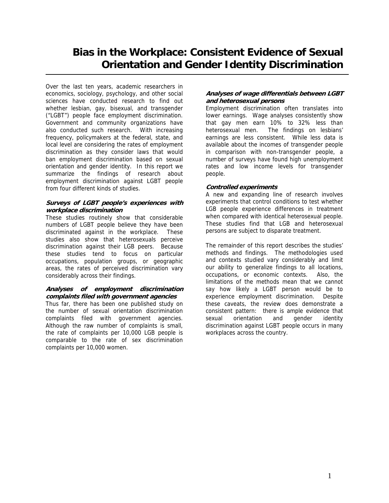### **Bias in the Workplace: Consistent Evidence of Sexual Orientation and Gender Identity Discrimination**

Over the last ten years, academic researchers in economics, sociology, psychology, and other social sciences have conducted research to find out whether lesbian, gay, bisexual, and transgender ("LGBT") people face employment discrimination. Government and community organizations have also conducted such research. With increasing frequency, policymakers at the federal, state, and local level are considering the rates of employment discrimination as they consider laws that would ban employment discrimination based on sexual orientation and gender identity. In this report we summarize the findings of research about employment discrimination against LGBT people from four different kinds of studies.

#### **Surveys of LGBT people's experiences with workplace discrimination**

These studies routinely show that considerable numbers of LGBT people believe they have been discriminated against in the workplace. These studies also show that heterosexuals perceive discrimination against their LGB peers. Because these studies tend to focus on particular occupations, population groups, or geographic areas, the rates of perceived discrimination vary considerably across their findings.

#### **Analyses of employment discrimination complaints filed with government agencies**

Thus far, there has been one published study on the number of sexual orientation discrimination complaints filed with government agencies. Although the raw number of complaints is small, the rate of complaints per 10,000 LGB people is comparable to the rate of sex discrimination complaints per 10,000 women.

#### **Analyses of wage differentials between LGBT and heterosexual persons**

Employment discrimination often translates into lower earnings. Wage analyses consistently show that gay men earn 10% to 32% less than heterosexual men. The findings on lesbians' earnings are less consistent. While less data is available about the incomes of transgender people in comparison with non-transgender people, a number of surveys have found high unemployment rates and low income levels for transgender people.

#### **Controlled experiments**

A new and expanding line of research involves experiments that control conditions to test whether LGB people experience differences in treatment when compared with identical heterosexual people. These studies find that LGB and heterosexual persons are subject to disparate treatment.

The remainder of this report describes the studies' methods and findings. The methodologies used and contexts studied vary considerably and limit our ability to generalize findings to all locations, occupations, or economic contexts. Also, the limitations of the methods mean that we cannot say how likely a LGBT person would be to experience employment discrimination. Despite these caveats, the review does demonstrate a consistent pattern: there is ample evidence that sexual orientation and gender identity discrimination against LGBT people occurs in many workplaces across the country.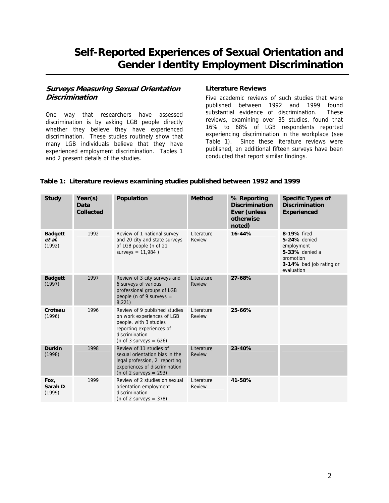### <span id="page-6-0"></span>**Self-Reported Experiences of Sexual Orientation and Gender Identity Employment Discrimination**

#### **Surveys Measuring Sexual Orientation Discrimination**

One way that researchers have assessed discrimination is by asking LGB people directly whether they believe they have experienced discrimination. These studies routinely show that many LGB individuals believe that they have experienced employment discrimination. Tables 1 and 2 present details of the studies.

#### **Literature Reviews**

Five academic reviews of such studies that were published between 1992 and 1999 found substantial evidence of discrimination. These reviews, examining over 35 studies, found that 16% to 68% of LGB respondents reported experiencing discrimination in the workplace (see Table 1). Since these literature reviews were published, an additional fifteen surveys have been conducted that report similar findings.

#### **Table 1: Literature reviews examining studies published between 1992 and 1999**

| <b>Study</b>                       | Year(s)<br>Data<br><b>Collected</b> | Population                                                                                                                                                       | <b>Method</b>               | % Reporting<br><b>Discrimination</b><br><b>Ever (unless</b><br>otherwise<br>noted) | <b>Specific Types of</b><br><b>Discrimination</b><br><b>Experienced</b>                                           |
|------------------------------------|-------------------------------------|------------------------------------------------------------------------------------------------------------------------------------------------------------------|-----------------------------|------------------------------------------------------------------------------------|-------------------------------------------------------------------------------------------------------------------|
| <b>Badgett</b><br>et al.<br>(1992) | 1992                                | Review of 1 national survey<br>and 20 city and state surveys<br>of LGB people (n of 21<br>surveys = $11,984$ )                                                   | Literature<br>Review        | 16-44%                                                                             | 8-19% fired<br>5-24% denied<br>employment<br>5-33% denied a<br>promotion<br>3-14% bad job rating or<br>evaluation |
| <b>Badgett</b><br>(1997)           | 1997                                | Review of 3 city surveys and<br>6 surveys of various<br>professional groups of LGB<br>people (n of 9 surveys =<br>8,221)                                         | Literature<br><b>Review</b> | 27-68%                                                                             |                                                                                                                   |
| Croteau<br>(1996)                  | 1996                                | Review of 9 published studies<br>on work experiences of LGB<br>people, with 3 studies<br>reporting experiences of<br>discrimination<br>(n of 3 surveys = $626$ ) | Literature<br>Review        | 25-66%                                                                             |                                                                                                                   |
| <b>Durkin</b><br>(1998)            | 1998                                | Review of 11 studies of<br>sexual orientation bias in the<br>legal profession, 2 reporting<br>experiences of discrimination<br>(n of 2 surveys $= 293$ )         | Literature<br>Review        | 23-40%                                                                             |                                                                                                                   |
| Fox,<br>Sarah D.<br>(1999)         | 1999                                | Review of 2 studies on sexual<br>orientation employment<br>discrimination<br>(n of 2 surveys $=$ 378)                                                            | Literature<br>Review        | 41-58%                                                                             |                                                                                                                   |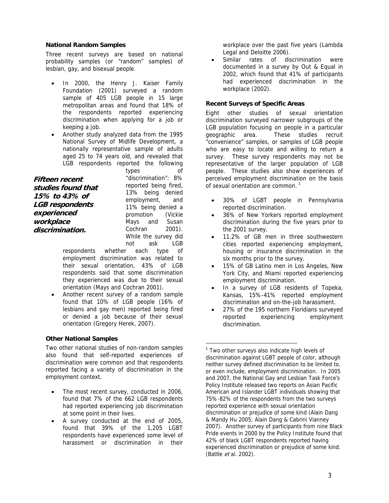#### <span id="page-7-0"></span>**National Random Samples**

Three recent surveys are based on national probability samples (or "random" samples) of lesbian, gay, and bisexual people.

- In 2000, the Henry J. Kaiser Family Foundation (2001) surveyed a random sample of 405 LGB people in 15 large metropolitan areas and found that 18% of the respondents reported experiencing discrimination when applying for a job or keeping a job.
- Another study analyzed data from the 1995 National Survey of Midlife Development, a nationally representative sample of adults aged 25 to 74 years old, and revealed that LGB respondents reported the following

**Fifteen recent studies found that 15% to 43% of LGB respondents experienced workplace discrimination.** 

types of "discrimination": 8% reported being fired, 13% being denied employment, and 11% being denied a promotion (Vickie Mays and Susan Cochran 2001). While the survey did not ask LGB

respondents whether each type of employment discrimination was related to their sexual orientation, 43% of LGB respondents said that some discrimination they experienced was due to their sexual orientation (Mays and Cochran 2001).

• Another recent survey of a random sample found that 10% of LGB people (16% of lesbians and gay men) reported being fired or denied a job because of their sexual orientation (Gregory Herek, 2007).

#### **Other National Samples**

<span id="page-7-1"></span>Two other national studies of non-random samples also found that self-reported experiences of discrimination were common and that respondents reported facing a variety of discrimination in the employment context.

- The most recent survey, conducted in 2006, found that 7% of the 662 LGB respondents had reported experiencing job discrimination at some point in their lives.
- A survey conducted at the end of 2005, found that 39% of the 1,205 LGBT respondents have experienced some level of harassment or discrimination in their

workplace over the past five years (Lambda Legal and Deloitte 2006).

Similar rates of discrimination were documented in a survey by Out & Equal in 2002, which found that 41% of participants had experienced discrimination in the workplace (2002).

#### **Recent Surveys of Specific Areas**

Eight other studies of sexual orientation discrimination surveyed narrower subgroups of the LGB population focusing on people in a particular geographic area. These studies recruit "convenience" samples, or samples of LGB people who are easy to locate and willing to return a survey. These survey respondents may not be representative of the larger population of LGB people. These studies also show experiences of perceived employment discrimination on the basis  $\overline{a}$  of sexual orientation are common.<sup>[1](#page-7-1)</sup>

- 30% of LGBT people in Pennsylvania reported discrimination.
- 36% of New Yorkers reported employment discrimination during the five years prior to the 2001 survey.
- 11.2% of GB men in three southwestern cities reported experiencing employment, housing or insurance discrimination in the six months prior to the survey.
- 15% of GB Latino men in Los Angeles, New York City, and Miami reported experiencing employment discrimination.
- In a survey of LGB residents of Topeka, Kansas, 15%-41% reported employment discrimination and on-the-job harassment.
- 27% of the 195 northern Floridians surveyed reported experiencing employment discrimination.

 $\overline{a}$ 

<sup>&</sup>lt;sup>1</sup> Two other surveys also indicate high levels of discrimination against LGBT people of color, although neither survey defined discrimination to be limited to, or even include, employment discrimination. In 2005 and 2007, the National Gay and Lesbian Task Force's Policy Institute released two reports on Asian Pacific American and Islander LGBT individuals showing that 75%-82% of the respondents from the two surveys reported experience with sexual orientation discrimination or prejudice of some kind (Alain Dang & Mandy Hu 2005; Alain Dang & Cabrini Vianney 2007). Another survey of participants from nine Black Pride events in 2000 by the Policy Institute found that 42% of black LGBT respondents reported having experienced discrimination or prejudice of some kind. (Battle et al. 2002).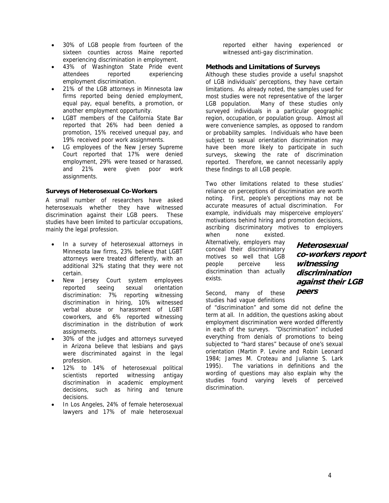- <span id="page-8-0"></span>• 30% of LGB people from fourteen of the sixteen counties across Maine reported experiencing discrimination in employment.
- 43% of Washington State Pride event attendees reported experiencing employment discrimination.
- 21% of the LGB attorneys in Minnesota law firms reported being denied employment, equal pay, equal benefits, a promotion, or another employment opportunity.
- LGBT members of the California State Bar reported that 26% had been denied a promotion, 15% received unequal pay, and 19% received poor work assignments.
- LG employees of the New Jersey Supreme Court reported that 17% were denied employment, 29% were teased or harassed, and 21% were given poor work assignments.

#### **Surveys of Heterosexual Co-Workers**

A small number of researchers have asked heterosexuals whether they have witnessed discrimination against their LGB peers. These studies have been limited to particular occupations, mainly the legal profession.

- In a survey of heterosexual attorneys in Minnesota law firms, 23% believe that LGBT attorneys were treated differently, with an additional 32% stating that they were not certain.
- New Jersey Court system employees reported seeing sexual orientation discrimination: 7% reporting witnessing discrimination in hiring, 10% witnessed verbal abuse or harassment of LGBT coworkers, and 6% reported witnessing discrimination in the distribution of work assignments.
- 30% of the judges and attorneys surveyed in Arizona believe that lesbians and gays were discriminated against in the legal profession.
- 12% to 14% of heterosexual political scientists reported witnessing antigay discrimination in academic employment decisions, such as hiring and tenure decisions.
- In Los Angeles, 24% of female heterosexual lawyers and 17% of male heterosexual

reported either having experienced or witnessed anti-gay discrimination.

#### **Methods and Limitations of Surveys**

Although these studies provide a useful snapshot of LGB individuals' perceptions, they have certain limitations. As already noted, the samples used for most studies were not representative of the larger LGB population. Many of these studies only surveyed individuals in a particular geographic region, occupation, or population group. Almost all were convenience samples, as opposed to random or probability samples. Individuals who have been subject to sexual orientation discrimination may have been more likely to participate in such surveys, skewing the rate of discrimination reported. Therefore, we cannot necessarily apply these findings to all LGB people.

Two other limitations related to these studies' reliance on perceptions of discrimination are worth noting. First, people's perceptions may not be accurate measures of actual discrimination. For example, individuals may misperceive employers' motivations behind hiring and promotion decisions, ascribing discriminatory motives to employers

when none existed. Alternatively, employers may conceal their discriminatory motives so well that LGB people perceive less discrimination than actually exists.

**Heterosexual co-workers report witnessing discrimination against their LGB peers** 

Second, many of these studies had vague definitions

of "discrimination" and some did not define the term at all. In addition, the questions asking about employment discrimination were worded differently in each of the surveys. "Discrimination" included everything from denials of promotions to being subjected to "hard stares" because of one's sexual orientation (Martin P. Levine and Robin Leonard 1984; James M. Croteau and Julianne S. Lark 1995). The variations in definitions and the wording of questions may also explain why the studies found varying levels of perceived discrimination.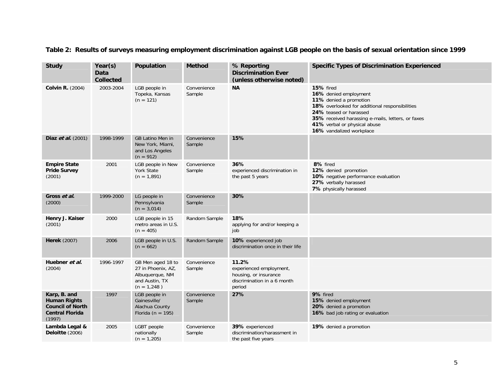| <b>Study</b>                                                                                       | Year(s)<br>Data<br><b>Collected</b> | Population                                                                                    | <b>Method</b>         | % Reporting<br><b>Discrimination Ever</b><br>(unless otherwise noted)                              | <b>Specific Types of Discrimination Experienced</b>                                                                                                                                                                                                       |
|----------------------------------------------------------------------------------------------------|-------------------------------------|-----------------------------------------------------------------------------------------------|-----------------------|----------------------------------------------------------------------------------------------------|-----------------------------------------------------------------------------------------------------------------------------------------------------------------------------------------------------------------------------------------------------------|
| <b>Colvin R. (2004)</b>                                                                            | 2003-2004                           | LGB people in<br>Topeka, Kansas<br>$(n = 121)$                                                | Convenience<br>Sample | <b>NA</b>                                                                                          | 15% fired<br>16% denied employment<br>11% denied a promotion<br>18% overlooked for additional responsibilities<br>24% teased or harassed<br>35% received harassing e-mails, letters, or faxes<br>41% verbal or physical abuse<br>16% vandalized workplace |
| Diaz et al. (2001)                                                                                 | 1998-1999                           | <b>GB Latino Men in</b><br>New York, Miami,<br>and Los Angeles<br>$(n = 912)$                 | Convenience<br>Sample | 15%                                                                                                |                                                                                                                                                                                                                                                           |
| <b>Empire State</b><br><b>Pride Survey</b><br>(2001)                                               | 2001                                | LGB people in New<br>York State<br>$(n = 1,891)$                                              | Convenience<br>Sample | 36%<br>experienced discrimination in<br>the past 5 years                                           | 8% fired<br>12% denied promotion<br>10% negative performance evaluation<br>27% verbally harassed<br>7% physically harassed                                                                                                                                |
| Gross et al.<br>(2000)                                                                             | 1999-2000                           | LG people in<br>Pennsylvania<br>$(n = 3,014)$                                                 | Convenience<br>Sample | 30%                                                                                                |                                                                                                                                                                                                                                                           |
| Henry J. Kaiser<br>(2001)                                                                          | 2000                                | LGB people in 15<br>metro areas in U.S.<br>$(n = 405)$                                        | Random Sample         | 18%<br>applying for and/or keeping a<br>job                                                        |                                                                                                                                                                                                                                                           |
| <b>Herek</b> (2007)                                                                                | 2006                                | LGB people in U.S.<br>$(n = 662)$                                                             | Random Sample         | 10% experienced job<br>discrimination once in their life                                           |                                                                                                                                                                                                                                                           |
| Huebner et al.<br>(2004)                                                                           | 1996-1997                           | GB Men aged 18 to<br>27 in Phoenix, AZ,<br>Albuquerque, NM<br>and Austin, TX<br>$(n = 1,248)$ | Convenience<br>Sample | 11.2%<br>experienced employment,<br>housing, or insurance<br>discrimination in a 6 month<br>period |                                                                                                                                                                                                                                                           |
| Karp, B. and<br><b>Human Rights</b><br><b>Council of North</b><br><b>Central Florida</b><br>(1997) | 1997                                | LGB people in<br>Gainesville/<br>Alachua County<br>Florida ( $n = 195$ )                      | Convenience<br>Sample | 27%                                                                                                | 9% fired<br>15% denied employment<br>20% denied a promotion<br>16% bad job rating or evaluation                                                                                                                                                           |
| Lambda Legal &<br>Deloitte (2006)                                                                  | 2005                                | LGBT people<br>nationally<br>$(n = 1,205)$                                                    | Convenience<br>Sample | 39% experienced<br>discrimination/harassment in<br>the past five years                             | 19% denied a promotion                                                                                                                                                                                                                                    |

#### **Table 2: Results of surveys measuring employment discrimination against LGB people on the basis of sexual orientation since 1999**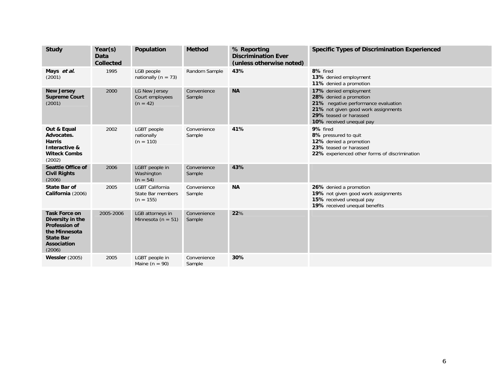| <b>Study</b>                                                                                                                   | Year(s)<br>Data<br><b>Collected</b> | Population                                                 | <b>Method</b>         | % Reporting<br><b>Discrimination Ever</b><br>(unless otherwise noted) | <b>Specific Types of Discrimination Experienced</b>                                                                                                                                 |
|--------------------------------------------------------------------------------------------------------------------------------|-------------------------------------|------------------------------------------------------------|-----------------------|-----------------------------------------------------------------------|-------------------------------------------------------------------------------------------------------------------------------------------------------------------------------------|
| Mays et al.<br>(2001)                                                                                                          | 1995                                | LGB people<br>nationally ( $n = 73$ )                      | Random Sample         | 43%                                                                   | 8% fired<br>13% denied employment<br>11% denied a promotion                                                                                                                         |
| <b>New Jersey</b><br><b>Supreme Court</b><br>(2001)                                                                            | 2000                                | LG New Jersey<br>Court employees<br>$(n = 42)$             | Convenience<br>Sample | <b>NA</b>                                                             | 17% denied employment<br>28% denied a promotion<br>21% negative performance evaluation<br>21% not given good work assignments<br>29% teased or harassed<br>10% received unequal pay |
| Out & Equal<br>Advocates.<br><b>Harris</b><br>Interactive &<br><b>Witeck Combs</b><br>(2002)                                   | 2002                                | LGBT people<br>nationally<br>$(n = 110)$                   | Convenience<br>Sample | 41%                                                                   | 9% fired<br>8% pressured to quit<br>12% denied a promotion<br>23% teased or harassed<br>22% experienced other forms of discrimination                                               |
| <b>Seattle Office of</b><br><b>Civil Rights</b><br>(2006)                                                                      | 2006                                | LGBT people in<br>Washington<br>$(n = 54)$                 | Convenience<br>Sample | 43%                                                                   |                                                                                                                                                                                     |
| <b>State Bar of</b><br>California (2006)                                                                                       | 2005                                | <b>LGBT California</b><br>State Bar members<br>$(n = 155)$ | Convenience<br>Sample | <b>NA</b>                                                             | 26% denied a promotion<br>19% not given good work assignments<br>15% received unequal pay<br>19% received unequal benefits                                                          |
| <b>Task Force on</b><br>Diversity in the<br><b>Profession of</b><br>the Minnesota<br><b>State Bar</b><br>Association<br>(2006) | 2005-2006                           | LGB attorneys in<br>Minnesota ( $n = 51$ )                 | Convenience<br>Sample | 22%                                                                   |                                                                                                                                                                                     |
| <b>Wessler</b> (2005)                                                                                                          | 2005                                | LGBT people in<br>Maine ( $n = 90$ )                       | Convenience<br>Sample | 30%                                                                   |                                                                                                                                                                                     |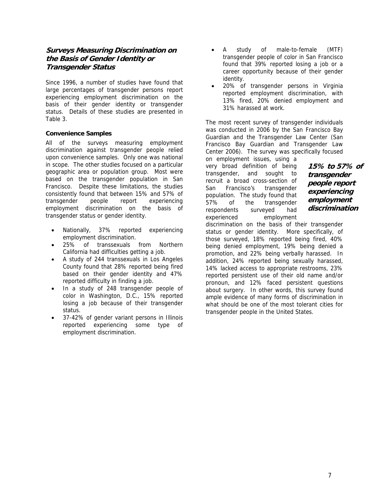#### <span id="page-11-0"></span>**Surveys Measuring Discrimination on the Basis of Gender Identity or Transgender Status**

Since 1996, a number of studies have found that large percentages of transgender persons report experiencing employment discrimination on the basis of their gender identity or transgender status. Details of these studies are presented in Table 3.

#### **Convenience Samples**

All of the surveys measuring employment discrimination against transgender people relied upon convenience samples. Only one was national in scope. The other studies focused on a particular geographic area or population group. Most were based on the transgender population in San Francisco. Despite these limitations, the studies consistently found that between 15% and 57% of transgender people report experiencing employment discrimination on the basis of transgender status or gender identity.

- Nationally, 37% reported experiencing employment discrimination.
- 25% of transsexuals from Northern California had difficulties getting a job.
- A study of 244 transsexuals in Los Angeles County found that 28% reported being fired based on their gender identity and 47% reported difficulty in finding a job.
- In a study of 248 transgender people of color in Washington, D.C., 15% reported losing a job because of their transgender status.
- 37-42% of gender variant persons in Illinois reported experiencing some type of employment discrimination.
- A study of male-to-female (MTF) transgender people of color in San Francisco found that 39% reported losing a job or a career opportunity because of their gender identity.
- 20% of transgender persons in Virginia reported employment discrimination, with 13% fired, 20% denied employment and 31% harassed at work.

The most recent survey of transgender individuals was conducted in 2006 by the San Francisco Bay Guardian and the Transgender Law Center (San Francisco Bay Guardian and Transgender Law Center 2006). The survey was specifically focused

on employment issues, using a very broad definition of being transgender, and sought to recruit a broad cross-section of San Francisco's transgender population. The study found that 57% of the transgender respondents surveyed had experienced employment

**15% to 57% of transgender people report experiencing employment discrimination** 

discrimination on the basis of their transgender status or gender identity. More specifically, of those surveyed, 18% reported being fired, 40% being denied employment, 19% being denied a promotion, and 22% being verbally harassed. In addition, 24% reported being sexually harassed, 14% lacked access to appropriate restrooms, 23% reported persistent use of their old name and/or pronoun, and 12% faced persistent questions about surgery. In other words, this survey found ample evidence of many forms of discrimination in what should be one of the most tolerant cities for transgender people in the United States.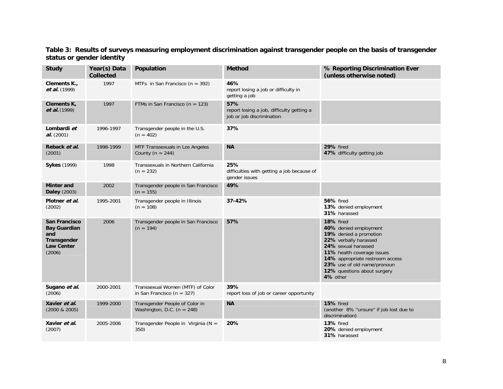**Table 3: Results of surveys measuring employment discrimination against transgender people on the basis of transgender status or gender identity** 

| <b>Study</b>                                                                                     | Year(s) Data<br><b>Collected</b> | Population                                                         | <b>Method</b>                                                                 | % Reporting Discrimination Ever<br>(unless otherwise noted)                                                                                                                                                                                             |
|--------------------------------------------------------------------------------------------------|----------------------------------|--------------------------------------------------------------------|-------------------------------------------------------------------------------|---------------------------------------------------------------------------------------------------------------------------------------------------------------------------------------------------------------------------------------------------------|
| Clements K.,<br><i>et al.</i> (1999)                                                             | 1997                             | MTFs in San Francisco ( $n = 392$ )                                | 46%<br>report losing a job or difficulty in<br>getting a job                  |                                                                                                                                                                                                                                                         |
| Clements K,<br><i>et al.</i> (1999)                                                              | 1997                             | FTMs in San Francisco ( $n = 123$ )                                | 57%<br>report losing a job, difficulty getting a<br>job or job discrimination |                                                                                                                                                                                                                                                         |
| Lombardi et<br>al. (2001)                                                                        | 1996-1997                        | Transgender people in the U.S.<br>$(n = 402)$                      | 37%                                                                           |                                                                                                                                                                                                                                                         |
| Reback et al.<br>(2001)                                                                          | 1998-1999                        | MTF Transsexuals in Los Angeles<br>County ( $n = 244$ )            | <b>NA</b>                                                                     | 29% fired<br>47% difficulty getting job                                                                                                                                                                                                                 |
| <b>Sykes (1999)</b>                                                                              | 1998                             | Transsexuals in Northern California<br>$(n = 232)$                 | 25%<br>difficulties with getting a job because of<br>gender issues            |                                                                                                                                                                                                                                                         |
| <b>Minter and</b><br><b>Daley</b> (2003)                                                         | 2002                             | Transgender people in San Francisco<br>$(n = 155)$                 | 49%                                                                           |                                                                                                                                                                                                                                                         |
| Plotner et al.<br>(2002)                                                                         | 1995-2001                        | Transgender people in Illinois<br>$(n = 108)$                      | 37-42%                                                                        | <b>56% fired</b><br>13% denied employment<br>31% harassed                                                                                                                                                                                               |
| <b>San Francisco</b><br><b>Bay Guardian</b><br>and<br>Transgender<br><b>Law Center</b><br>(2006) | 2006                             | Transgender people in San Francisco<br>$(n = 194)$                 | 57%                                                                           | 18% fired<br>40% denied employment<br>19% denied a promotion<br>22% verbally harassed<br>24% sexual harassed<br>11% health coverage issues<br>14% appropriate restroom access<br>23% use of old name/pronoun<br>12% questions about surgery<br>4% other |
| Sugano et al.<br>(2006)                                                                          | 2000-2001                        | Transsexual Women (MTF) of Color<br>in San Francisco ( $n = 327$ ) | 39%<br>report loss of job or career opportunity                               |                                                                                                                                                                                                                                                         |
| Xavier et al.<br>$(2000 \& 2005)$                                                                | 1999-2000                        | Transgender People of Color in<br>Washington, D.C. ( $n = 248$ )   | <b>NA</b>                                                                     | 15% fired<br>(another 8% "unsure" if job lost due to<br>discrimination)                                                                                                                                                                                 |
| Xavier et al.<br>(2007)                                                                          | 2005-2006                        | Transgender People in Virginia ( $N =$<br>350)                     | 20%                                                                           | 13% fired<br>20% denied employment<br>31% harassed                                                                                                                                                                                                      |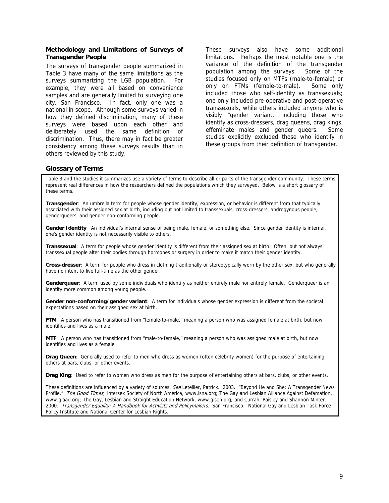#### <span id="page-13-0"></span>**Methodology and Limitations of Surveys of Transgender People**

The surveys of transgender people summarized in Table 3 have many of the same limitations as the surveys summarizing the LGB population. For example, they were all based on convenience samples and are generally limited to surveying one city, San Francisco. In fact, only one was a national in scope. Although some surveys varied in how they defined discrimination, many of these surveys were based upon each other and deliberately used the same definition of discrimination. Thus, there may in fact be greater consistency among these surveys results than in others reviewed by this study.

These surveys also have some additional limitations. Perhaps the most notable one is the variance of the definition of the transgender population among the surveys. Some of the studies focused only on MTFs (male-to-female) or only on FTMs (female-to-male). Some only included those who self-identity as transsexuals; one only included pre-operative and post-operative transsexuals, while others included anyone who is visibly "gender variant," including those who identify as cross-dressers, drag queens, drag kings, effeminate males and gender queers. Some studies explicitly excluded those who identify in these groups from their definition of transgender.

#### **Glossary of Terms**

Table 3 and the studies it summarizes use a variety of terms to describe all or parts of the transgender community. These terms represent real differences in how the researchers defined the populations which they surveyed. Below is a short glossary of these terms.

**Transgender**:An umbrella term for people whose gender identity, expression, or behavior is different from that typically associated with their assigned sex at birth, including but not limited to transsexuals, cross-dressers, androgynous people, genderqueers, and gender non-conforming people.

**Gender Identity**:An individual's internal sense of being male, female, or something else. Since gender identity is internal, one's gender identity is not necessarily visible to others.

**Transsexual**:A term for people whose gender identity is different from their assigned sex at birth. Often, but not always, transsexual people alter their bodies through hormones or surgery in order to make it match their gender identity.

**Cross-dresser**:A term for people who dress in clothing traditionally or stereotypically worn by the other sex, but who generally have no intent to live full-time as the other gender.

**Genderqueer**:A term used by some individuals who identify as neither entirely male nor entirely female. Genderqueer is an identity more common among young people.

**Gender non-conforming/gender variant**: A term for individuals whose gender expression is different from the societal expectations based on their assigned sex at birth.

**FTM**:A person who has transitioned from "female-to-male," meaning a person who was assigned female at birth, but now identifies and lives as a male.

**MTF**: A person who has transitioned from "male-to-female," meaning a person who was assigned male at birth, but now identifies and lives as a female

**Drag Queen**: Generally used to refer to men who dress as women (often celebrity women) for the purpose of entertaining others at bars, clubs, or other events.

**Drag King**:Used to refer to women who dress as men for the purpose of entertaining others at bars, clubs, or other events.

These definitions are influenced by a variety of sources. See Letellier, Patrick. 2003. "Beyond He and She: A Transgender News Profile." The Good Times; Intersex Society of North America, www.isna.org; The Gay and Lesbian Alliance Against Defamation, www.glaad.org; The Gay, Lesbian and Straight Education Network, www.glsen.org; and Currah, Paisley and Shannon Minter. 2000. Transgender Equality: A Handbook for Activists and Policymakers. San Francisco: National Gay and Lesbian Task Force Policy Institute and National Center for Lesbian Rights.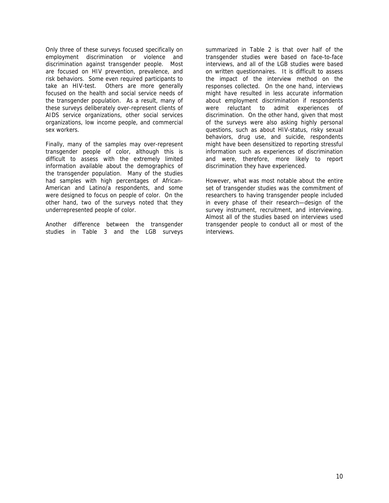Only three of these surveys focused specifically on employment discrimination or violence and discrimination against transgender people. Most are focused on HIV prevention, prevalence, and risk behaviors. Some even required participants to take an HIV-test. Others are more generally focused on the health and social service needs of the transgender population. As a result, many of these surveys deliberately over-represent clients of AIDS service organizations, other social services organizations, low income people, and commercial sex workers.

Finally, many of the samples may over-represent transgender people of color, although this is difficult to assess with the extremely limited information available about the demographics of the transgender population. Many of the studies had samples with high percentages of African-American and Latino/a respondents, and some were designed to focus on people of color. On the other hand, two of the surveys noted that they underrepresented people of color.

Another difference between the transgender studies in Table 3 and the LGB surveys

summarized in Table 2 is that over half of the transgender studies were based on face-to-face interviews, and all of the LGB studies were based on written questionnaires. It is difficult to assess the impact of the interview method on the responses collected. On the one hand, interviews might have resulted in less accurate information about employment discrimination if respondents were reluctant to admit experiences of discrimination. On the other hand, given that most of the surveys were also asking highly personal questions, such as about HIV-status, risky sexual behaviors, drug use, and suicide, respondents might have been desensitized to reporting stressful information such as experiences of discrimination and were, therefore, more likely to report discrimination they have experienced.

However, what was most notable about the entire set of transgender studies was the commitment of researchers to having transgender people included in every phase of their research—design of the survey instrument, recruitment, and interviewing. Almost all of the studies based on interviews used transgender people to conduct all or most of the interviews.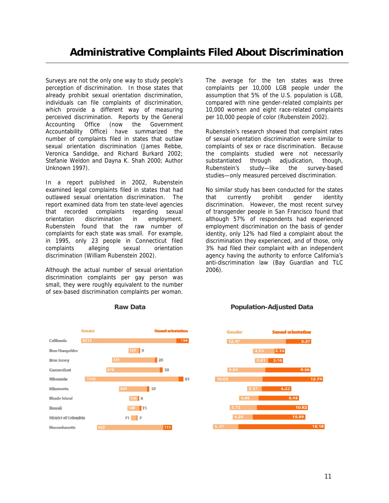<span id="page-15-0"></span>Surveys are not the only one way to study people's perception of discrimination. In those states that already prohibit sexual orientation discrimination, individuals can file complaints of discrimination, which provide a different way of measuring perceived discrimination. Reports by the General Accounting Office (now the Government Accountability Office) have summarized the number of complaints filed in states that outlaw sexual orientation discrimination (James Rebbe, Veronica Sandidge, and Richard Burkard 2002; Stefanie Weldon and Dayna K. Shah 2000; Author Unknown 1997).

In a report published in 2002, Rubenstein examined legal complaints filed in states that had outlawed sexual orientation discrimination. The report examined data from ten state-level agencies that recorded complaints regarding sexual orientation discrimination in employment. Rubenstein found that the raw number of complaints for each state was small. For example, in 1995, only 23 people in Connecticut filed complaints alleging sexual orientation discrimination (William Rubenstein 2002).

Although the actual number of sexual orientation discrimination complaints per gay person was small, they were roughly equivalent to the number of sex-based discrimination complaints per woman.

The average for the ten states was three complaints per 10,000 LGB people under the assumption that 5% of the U.S. population is LGB, compared with nine gender-related complaints per 10,000 women and eight race-related complaints per 10,000 people of color (Rubenstein 2002).

Rubenstein's research showed that complaint rates of sexual orientation discrimination were similar to complaints of sex or race discrimination. Because the complaints studied were not necessarily substantiated through adjudication, though, Rubenstein's study—like the survey-based studies—only measured perceived discrimination.

No similar study has been conducted for the states that currently prohibit gender identity discrimination. However, the most recent survey of transgender people in San Francisco found that although 57% of respondents had experienced employment discrimination on the basis of gender identity, only 12% had filed a complaint about the discrimination they experienced, and of those, only 3% had filed their complaint with an independent agency having the authority to enforce California's anti-discrimination law (Bay Guardian and TLC 2006).





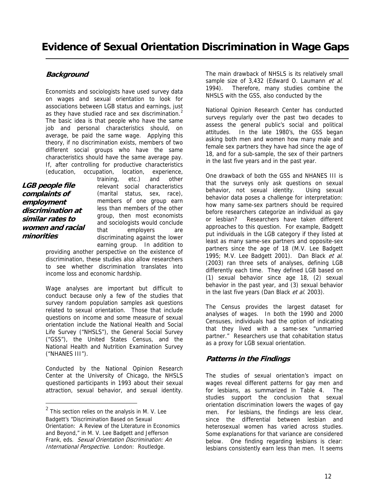### <span id="page-16-0"></span>**Background**

Economists and sociologists have used survey data on wages and sexual orientation to look for associations between LGB status and earnings, just as they have studied race and sex discrimination.<sup>[2](#page-16-1)</sup> The basic idea is that people who have the same job and personal characteristics should, on average, be paid the same wage. Applying this theory, if no discrimination exists, members of two different social groups who have the same characteristics should have the same average pay. If, after controlling for productive characteristics (education, occupation, location, experience,

**LGB people file complaints of employment discrimination at similar rates to women and racial minorities** 

 $\overline{a}$ 

training, etc.) and other relevant social characteristics (marital status, sex, race), members of one group earn less than members of the other group, then most economists and sociologists would conclude that employers are discriminating against the lower earning group. In addition to providing another perspective on the existence of

discrimination, these studies also allow researchers to see whether discrimination translates into income loss and economic hardship.

Wage analyses are important but difficult to conduct because only a few of the studies that survey random population samples ask questions related to sexual orientation. Those that include questions on income and some measure of sexual orientation include the National Health and Social Life Survey ("NHSLS"), the General Social Survey ("GSS"), the United States Census, and the National Health and Nutrition Examination Survey ("NHANES III").

Conducted by the National Opinion Research Center at the University of Chicago, the NHSLS questioned participants in 1993 about their sexual attraction, sexual behavior, and sexual identity.

The main drawback of NHSLS is its relatively small sample size of 3,432 (Edward O. Laumann et al. 1994). Therefore, many studies combine the NHSLS with the GSS, also conducted by the

National Opinion Research Center has conducted surveys regularly over the past two decades to assess the general public's social and political attitudes. In the late 1980's, the GSS began asking both men and women how many male and female sex partners they have had since the age of 18, and for a sub-sample, the sex of their partners in the last five years and in the past year.

One drawback of both the GSS and NHANES III is that the surveys only ask questions on sexual behavior, not sexual identity. Using sexual behavior data poses a challenge for interpretation: how many same-sex partners should be required before researchers categorize an individual as gay or lesbian? Researchers have taken different approaches to this question. For example, Badgett put individuals in the LGB category if they listed at least as many same-sex partners and opposite-sex partners since the age of 18 (M.V. Lee Badgett 1995; M.V. Lee Badgett 2001). Dan Black et al. (2003) ran three sets of analyses, defining LGB differently each time. They defined LGB based on (1) sexual behavior since age 18, (2) sexual behavior in the past year, and (3) sexual behavior in the last five years (Dan Black et al. 2003).

The Census provides the largest dataset for analyses of wages. In both the 1990 and 2000 Censuses, individuals had the option of indicating that they lived with a same-sex "unmarried partner." Researchers use that cohabitation status as a proxy for LGB sexual orientation.

#### **Patterns in the Findings**

The studies of sexual orientation's impact on wages reveal different patterns for gay men and for lesbians, as summarized in Table 4. The studies support the conclusion that sexual orientation discrimination lowers the wages of gay men. For lesbians, the findings are less clear, since the differential between lesbian and heterosexual women has varied across studies. Some explanations for that variance are considered below. One finding regarding lesbians is clear: lesbians consistently earn less than men. It seems

<span id="page-16-1"></span> $^2$  This section relies on the analysis in M. V. Lee Badgett's "Discrimination Based on Sexual Orientation: A Review of the Literature in Economics and Beyond," in M. V. Lee Badgett and Jefferson Frank, eds. Sexual Orientation Discrimination: An International Perspective. London: Routledge.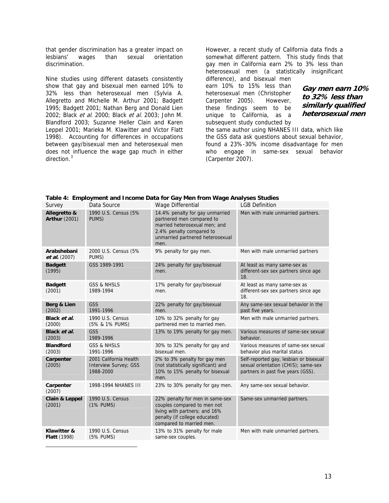that gender discrimination has a greater impact on lesbians' wages than sexual orientation discrimination.

Nine studies using different datasets consistently show that gay and bisexual men earned 10% to 32% less than heterosexual men (Sylvia A. Allegretto and Michelle M. Arthur 2001; Badgett 1995; Badgett 2001; Nathan Berg and Donald Lien 2002; Black et al. 2000; Black et al. 2003; John M. Blandford 2003; Suzanne Heller Clain and Karen Leppel 2001; Marieka M. Klawitter and Victor Flatt 1998). Accounting for differences in occupations between gay/bisexual men and heterosexual men does not influence the wage gap much in either direction.<sup>[3](#page-17-0)</sup>

<span id="page-17-0"></span> $\overline{a}$ 

However, a recent study of California data finds a somewhat different pattern. This study finds that gay men in California earn 2% to 3% less than heterosexual men (a statistically insignificant difference), and bisexual men

earn 10% to 15% less than heterosexual men (Christopher Carpenter 2005). However, these findings seem to be unique to California, as a subsequent study conducted by

**Gay men earn 10% to 32% less than similarly qualified heterosexual men** 

the same author using NHANES III data, which like the GSS data ask questions about sexual behavior, found a 23%-30% income disadvantage for men who engage in same-sex sexual behavior (Carpenter 2007).

| Survey                               | Data Source                                                         | Wage Differential                                                                                                                                                     | <b>LGB Definition</b>                                                                                               |
|--------------------------------------|---------------------------------------------------------------------|-----------------------------------------------------------------------------------------------------------------------------------------------------------------------|---------------------------------------------------------------------------------------------------------------------|
| Allegretto &<br><b>Arthur (2001)</b> | 1990 U.S. Census (5%<br>PUMS)                                       | 14.4% penalty for gay unmarried<br>partnered men compared to<br>married heterosexual men; and<br>2.4% penalty compared to<br>unmarried partnered heterosexual<br>men. | Men with male unmarried partners.                                                                                   |
| Arabshebani<br>et al. (2007)         | 2000 U.S. Census (5%<br>PUMS)                                       | 9% penalty for gay men.                                                                                                                                               | Men with male unmarried partners                                                                                    |
| <b>Badgett</b><br>(1995)             | GSS 1989-1991                                                       | 24% penalty for gay/bisexual<br>men.                                                                                                                                  | At least as many same-sex as<br>different-sex sex partners since age<br>18.                                         |
| <b>Badgett</b><br>(2001)             | <b>GSS &amp; NHSLS</b><br>1989-1994                                 | 17% penalty for gay/bisexual<br>men.                                                                                                                                  | At least as many same-sex as<br>different-sex sex partners since age<br>18.                                         |
| Berg & Lien<br>(2002)                | <b>GSS</b><br>1991-1996                                             | 22% penalty for gay/bisexual<br>men.                                                                                                                                  | Any same-sex sexual behavior in the<br>past five years.                                                             |
| Black et al.<br>(2000)               | 1990 U.S. Census<br>(5% & 1% PUMS)                                  | 10% to 32% penalty for gay<br>partnered men to married men.                                                                                                           | Men with male unmarried partners.                                                                                   |
| Black et al.<br>(2003)               | <b>GSS</b><br>1989-1996                                             | 13% to 19% penalty for gay men.                                                                                                                                       | Various measures of same-sex sexual<br>behavior.                                                                    |
| <b>Blandford</b><br>(2003)           | <b>GSS &amp; NHSLS</b><br>1991-1996                                 | 30% to 32% penalty for gay and<br>bisexual men.                                                                                                                       | Various measures of same-sex sexual<br>behavior plus marital status                                                 |
| Carpenter<br>(2005)                  | 2001 California Health<br><b>Interview Survey; GSS</b><br>1988-2000 | 2% to 3% penalty for gay men<br>(not statistically significant) and<br>10% to 15% penalty for bisexual<br>men.                                                        | Self-reported gay, lesbian or bisexual<br>sexual orientation (CHIS); same-sex<br>partners in past five years (GSS). |
| Carpenter<br>(2007)                  | 1998-1994 NHANES III                                                | 23% to 30% penalty for gay men.                                                                                                                                       | Any same-sex sexual behavior.                                                                                       |
| Clain & Leppel<br>(2001)             | 1990 U.S. Census<br>(1% PUMS)                                       | 22% penalty for men in same-sex<br>couples compared to men not<br>living with partners; and 16%<br>penalty (if college educated)<br>compared to married men.          | Same-sex unmarried partners.                                                                                        |
| Klawitter &<br><b>Flatt</b> (1998)   | 1990 U.S. Census<br>(5% PUMS)                                       | 13% to 31% penalty for male<br>same-sex couples.                                                                                                                      | Men with male unmarried partners.                                                                                   |

**Table 4: Employment and Income Data for Gay Men from Wage Analyses Studies**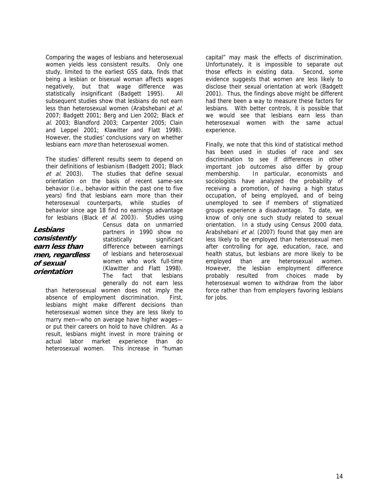Comparing the wages of lesbians and heterosexual women yields less consistent results. Only one study, limited to the earliest GSS data, finds that being a lesbian or bisexual woman affects wages negatively, but that wage difference was statistically insignificant (Badgett 1995). All subsequent studies show that lesbians do not earn less than heterosexual women (Arabshebani et al. 2007; Badgett 2001; Berg and Lien 2002; Black et al. 2003; Blandford 2003; Carpenter 2005; Clain and Leppel 2001; Klawitter and Flatt 1998). However, the studies' conclusions vary on whether lesbians earn more than heterosexual women.

The studies' different results seem to depend on their definitions of lesbianism (Badgett 2001; Black et al. 2003). The studies that define sexual orientation on the basis of recent same-sex behavior (i.e., behavior within the past one to five years) find that lesbians earn more than their heterosexual counterparts, while studies of behavior since age 18 find no earnings advantage for lesbians (Black et al. 2003). Studies using

**Lesbians consistently earn less than men, regardless of sexual orientation** 

Census data on unmarried partners in 1990 show no statistically significant difference between earnings of lesbians and heterosexual women who work full-time (Klawitter and Flatt 1998). The fact that lesbians generally do not earn less

than heterosexual women does not imply the absence of employment discrimination. First, lesbians might make different decisions than heterosexual women since they are less likely to marry men—who on average have higher wages or put their careers on hold to have children. As a result, lesbians might invest in more training or actual labor market experience than do heterosexual women. This increase in "human

capital" may mask the effects of discrimination. Unfortunately, it is impossible to separate out those effects in existing data. Second, some evidence suggests that women are less likely to disclose their sexual orientation at work (Badgett 2001). Thus, the findings above might be different had there been a way to measure these factors for lesbians. With better controls, it is possible that we would see that lesbians earn less than heterosexual women with the same actual experience.

Finally, we note that this kind of statistical method has been used in studies of race and sex discrimination to see if differences in other important job outcomes also differ by group membership. In particular, economists and sociologists have analyzed the probability of receiving a promotion, of having a high status occupation, of being employed, and of being unemployed to see if members of stigmatized groups experience a disadvantage. To date, we know of only one such study related to sexual orientation. In a study using Census 2000 data, Arabshebani et al. (2007) found that gay men are less likely to be employed than heterosexual men after controlling for age, education, race, and health status, but lesbians are more likely to be employed than are heterosexual women. However, the lesbian employment difference probably resulted from choices made by heterosexual women to withdraw from the labor force rather than from employers favoring lesbians for jobs.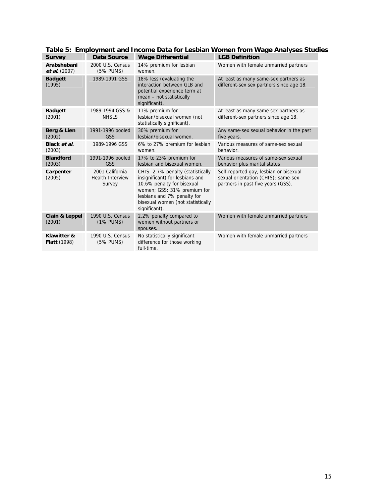| <b>Survey</b>                       | Data Source                                          | <b>Wage Differential</b>                                                                                                                                                                                               | <b>LGB Definition</b>                                                                                               |
|-------------------------------------|------------------------------------------------------|------------------------------------------------------------------------------------------------------------------------------------------------------------------------------------------------------------------------|---------------------------------------------------------------------------------------------------------------------|
| Arabshebani<br><i>et al.</i> (2007) | 2000 U.S. Census<br>(5% PUMS)                        | 14% premium for lesbian<br>women.                                                                                                                                                                                      | Women with female unmarried partners                                                                                |
| <b>Badgett</b><br>(1995)            | 1989-1991 GSS                                        | 18% less (evaluating the<br>interaction between GLB and<br>potential experience term at<br>mean - not statistically<br>significant).                                                                                   | At least as many same-sex partners as<br>different-sex sex partners since age 18.                                   |
| <b>Badgett</b><br>(2001)            | 1989-1994 GSS &<br><b>NHSLS</b>                      | 11% premium for<br>lesbian/bisexual women (not<br>statistically significant).                                                                                                                                          | At least as many same sex partners as<br>different-sex partners since age 18.                                       |
| Berg & Lien<br>(2002)               | 1991-1996 pooled<br><b>GSS</b>                       | 30% premium for<br>lesbian/bisexual women.                                                                                                                                                                             | Any same-sex sexual behavior in the past<br>five years.                                                             |
| Black et al.<br>(2003)              | 1989-1996 GSS                                        | 6% to 27% premium for lesbian<br>women.                                                                                                                                                                                | Various measures of same-sex sexual<br>behavior.                                                                    |
| <b>Blandford</b><br>(2003)          | 1991-1996 pooled<br>GSS                              | 17% to 23% premium for<br>lesbian and bisexual women.                                                                                                                                                                  | Various measures of same-sex sexual<br>behavior plus marital status                                                 |
| Carpenter<br>(2005)                 | 2001 California<br><b>Health Interview</b><br>Survey | CHIS: 2.7% penalty (statistically<br>insignificant) for lesbians and<br>10.6% penalty for bisexual<br>women; GSS: 31% premium for<br>lesbians and 7% penalty for<br>bisexual women (not statistically<br>significant). | Self-reported gay, lesbian or bisexual<br>sexual orientation (CHIS); same-sex<br>partners in past five years (GSS). |
| Clain & Leppel<br>(2001)            | 1990 U.S. Census<br>(1% PUMS)                        | 2.2% penalty compared to<br>women without partners or<br>spouses.                                                                                                                                                      | Women with female unmarried partners                                                                                |
| Klawitter &<br><b>Flatt</b> (1998)  | 1990 U.S. Census<br>(5% PUMS)                        | No statistically significant<br>difference for those working<br>full-time.                                                                                                                                             | Women with female unmarried partners                                                                                |

**Table 5: Employment and Income Data for Lesbian Women from Wage Analyses Studies**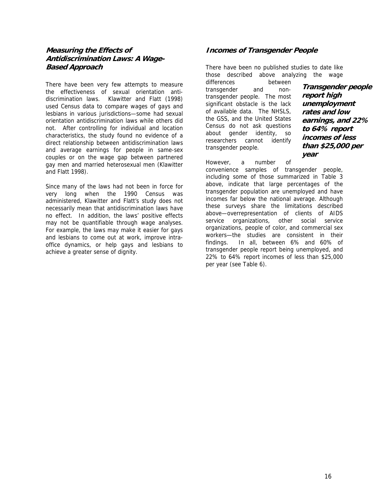#### <span id="page-20-0"></span>**Measuring the Effects of Antidiscrimination Laws: A Wage-Based Approach**

There have been very few attempts to measure the effectiveness of sexual orientation antidiscrimination laws. Klawitter and Flatt (1998) used Census data to compare wages of gays and lesbians in various jurisdictions—some had sexual orientation antidiscrimination laws while others did not. After controlling for individual and location characteristics, the study found no evidence of a direct relationship between antidiscrimination laws and average earnings for people in same-sex couples or on the wage gap between partnered gay men and married heterosexual men (Klawitter and Flatt 1998).

Since many of the laws had not been in force for very long when the 1990 Census was administered, Klawitter and Flatt's study does not necessarily mean that antidiscrimination laws have no effect. In addition, the laws' positive effects may not be quantifiable through wage analyses. For example, the laws may make it easier for gays and lesbians to come out at work, improve intraoffice dynamics, or help gays and lesbians to achieve a greater sense of dignity.

#### **Incomes of Transgender People**

There have been no published studies to date like those described above analyzing the wage

differences between transgender and nontransgender people. The most significant obstacle is the lack of available data. The NHSLS, the GSS, and the United States Census do not ask questions about gender identity, so researchers cannot identify transgender people.

**Transgender people report high unemployment rates and low earnings, and 22% to 64% report incomes of less than \$25,000 per year** 

However, a number of convenience samples of transgender people, including some of those summarized in Table 3 above, indicate that large percentages of the transgender population are unemployed and have incomes far below the national average. Although these surveys share the limitations described above—overrepresentation of clients of AIDS service organizations, other social service organizations, people of color, and commercial sex workers—the studies are consistent in their findings. In all, between 6% and 60% of transgender people report being unemployed, and 22% to 64% report incomes of less than \$25,000 per year (see Table 6).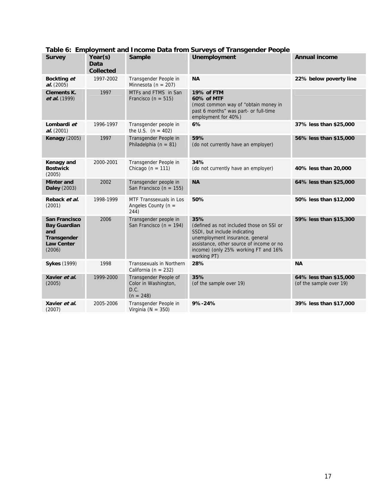| <b>Survey</b>                                                                                    | Year(s)<br><b>Data</b><br><b>Collected</b> | <b>Sample</b>                                                        | <b>Unemployment</b>                                                                                                                                                                                                   | <b>Annual income</b>                              |
|--------------------------------------------------------------------------------------------------|--------------------------------------------|----------------------------------------------------------------------|-----------------------------------------------------------------------------------------------------------------------------------------------------------------------------------------------------------------------|---------------------------------------------------|
| Bockting et<br>al. (2005)                                                                        | 1997-2002                                  | Transgender People in<br>Minnesota ( $n = 207$ )                     | <b>NA</b>                                                                                                                                                                                                             | 22% below poverty line                            |
| <b>Clements K.</b><br>et al. (1999)                                                              | 1997                                       | MTFs and FTMS in San<br>Francisco (n = $515$ )                       | 19% of FTM<br>60% of MTF<br>(most common way of "obtain money in<br>past 6 months" was part- or full-time<br>employment for 40%)                                                                                      |                                                   |
| Lombardi et<br>al. (2001)                                                                        | 1996-1997                                  | Transgender people in<br>the U.S. $(n = 402)$                        | 6%                                                                                                                                                                                                                    | 37% less than \$25,000                            |
| <b>Kenagy (2005)</b>                                                                             | 1997                                       | Transgender People in<br>Philadelphia ( $n = 81$ )                   | 59%<br>(do not currently have an employer)                                                                                                                                                                            | 56% less than \$15,000                            |
| Kenagy and<br><b>Bostwick</b><br>(2005)                                                          | 2000-2001                                  | Transgender People in<br>Chicago ( $n = 111$ )                       | 34%<br>(do not currently have an employer)                                                                                                                                                                            | 40% less than 20,000                              |
| <b>Minter and</b><br><b>Daley</b> (2003)                                                         | 2002                                       | Transgender people in<br>San Francisco (n = $155$ )                  | <b>NA</b>                                                                                                                                                                                                             | 64% less than \$25,000                            |
| Reback et al.<br>(2001)                                                                          | 1998-1999                                  | MTF Transsexuals in Los<br>Angeles County ( $n =$<br>244)            | 50%                                                                                                                                                                                                                   | 50% less than \$12,000                            |
| <b>San Francisco</b><br><b>Bay Guardian</b><br>and<br>Transgender<br><b>Law Center</b><br>(2006) | 2006                                       | Transgender people in<br>San Francisco (n = 194)                     | 35%<br>(defined as not included those on SSI or<br>SSDI, but include indicating<br>unemployment insurance, general<br>assistance, other source of income or no<br>income) (only 25% working FT and 16%<br>working PT) | 59% less than \$15,300                            |
| <b>Sykes</b> (1999)                                                                              | 1998                                       | <b>Transsexuals in Northern</b><br>California ( $n = 232$ )          | 28%                                                                                                                                                                                                                   | <b>NA</b>                                         |
| Xavier et al.<br>(2005)                                                                          | 1999-2000                                  | Transgender People of<br>Color in Washington,<br>D.C.<br>$(n = 248)$ | 35%<br>(of the sample over 19)                                                                                                                                                                                        | 64% less than \$15,000<br>(of the sample over 19) |
| Xavier et al.<br>(2007)                                                                          | 2005-2006                                  | Transgender People in<br>Virginia ( $N = 350$ )                      | 9%-24%                                                                                                                                                                                                                | 39% less than \$17,000                            |

#### **Table 6: Employment and Income Data from Surveys of Transgender People**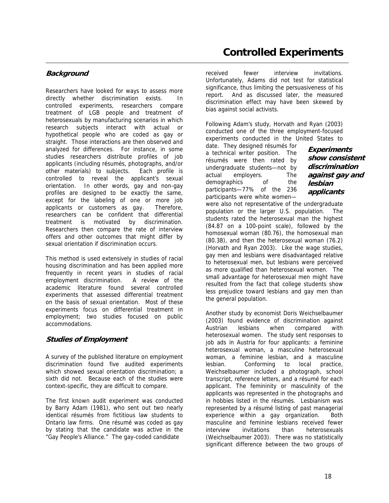#### <span id="page-22-0"></span>**Background**

Researchers have looked for ways to assess more directly whether discrimination exists. In controlled experiments, researchers compare treatment of LGB people and treatment of heterosexuals by manufacturing scenarios in which research subjects interact with actual or hypothetical people who are coded as gay or straight. Those interactions are then observed and analyzed for differences. For instance, in some studies researchers distribute profiles of job applicants (including résumés, photographs, and/or other materials) to subjects. Each profile is controlled to reveal the applicant's sexual orientation. In other words, gay and non-gay profiles are designed to be exactly the same, except for the labeling of one or more job applicants or customers as gay. Therefore, researchers can be confident that differential treatment is motivated by discrimination. Researchers then compare the rate of interview offers and other outcomes that might differ by sexual orientation if discrimination occurs.

This method is used extensively in studies of racial housing discrimination and has been applied more frequently in recent years in studies of racial employment discrimination. A review of the academic literature found several controlled experiments that assessed differential treatment on the basis of sexual orientation. Most of these experiments focus on differential treatment in employment; two studies focused on public accommodations.

#### **Studies of Employment**

A survey of the published literature on employment discrimination found five audited experiments which showed sexual orientation discrimination; a sixth did not. Because each of the studies were context-specific, they are difficult to compare.

The first known audit experiment was conducted by Barry Adam (1981), who sent out two nearly identical résumés from fictitious law students to Ontario law firms. One résumé was coded as gay by stating that the candidate was active in the "Gay People's Alliance." The gay-coded candidate

received fewer interview invitations. Unfortunately, Adams did not test for statistical significance, thus limiting the persuasiveness of his report. And as discussed later, the measured discrimination effect may have been skewed by bias against social activists.

Following Adam's study, Horvath and Ryan (2003) conducted one of the three employment-focused experiments conducted in the United States to

date. They designed résumés for a technical writer position. The résumés were then rated by undergraduate students—not by actual employers. The demographics of the participants—77% of the 236 participants were white women—

**Experiments show consistent discrimination against gay and lesbian applicants** 

were also not representative of the undergraduate population or the larger U.S. population. The students rated the heterosexual man the highest (84.87 on a 100-point scale), followed by the homosexual woman (80.76), the homosexual man (80.38), and then the heterosexual woman (76.2) (Horvath and Ryan 2003). Like the wage studies, gay men and lesbians were disadvantaged relative to heterosexual men, but lesbians were perceived as more qualified than heterosexual women. The small advantage for heterosexual men might have resulted from the fact that college students show less prejudice toward lesbians and gay men than the general population.

Another study by economist Doris Weichselbaumer (2003) found evidence of discrimination against Austrian lesbians when compared with heterosexual women. The study sent responses to job ads in Austria for four applicants: a feminine heterosexual woman, a masculine heterosexual woman, a feminine lesbian, and a masculine lesbian. Conforming to local practice, Weichselbaumer included a photograph, school transcript, reference letters, and a résumé for each applicant. The femininity or masculinity of the applicants was represented in the photographs and in hobbies listed in the résumés. Lesbianism was represented by a résumé listing of past managerial experience within a gay organization. Both masculine and feminine lesbians received fewer interview invitations than heterosexuals (Weichselbaumer 2003). There was no statistically significant difference between the two groups of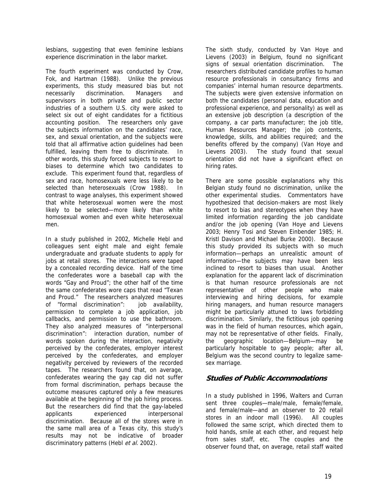<span id="page-23-0"></span>lesbians, suggesting that even feminine lesbians experience discrimination in the labor market.

The fourth experiment was conducted by Crow, Fok, and Hartman (1988). Unlike the previous experiments, this study measured bias but not necessarily discrimination. Managers and supervisors in both private and public sector industries of a southern U.S. city were asked to select six out of eight candidates for a fictitious accounting position. The researchers only gave the subjects information on the candidates' race, sex, and sexual orientation, and the subjects were told that all affirmative action guidelines had been fulfilled, leaving them free to discriminate. In other words, this study forced subjects to resort to biases to determine which two candidates to exclude. This experiment found that, regardless of sex and race, homosexuals were less likely to be selected than heterosexuals (Crow 1988). In contrast to wage analyses, this experiment showed that white heterosexual women were the most likely to be selected—more likely than white homosexual women and even white heterosexual men.

In a study published in 2002, Michelle Hebl and colleagues sent eight male and eight female undergraduate and graduate students to apply for jobs at retail stores. The interactions were taped by a concealed recording device. Half of the time the confederates wore a baseball cap with the words "Gay and Proud"; the other half of the time the same confederates wore caps that read "Texan and Proud." The researchers analyzed measures of "formal discrimination": job availability, permission to complete a job application, job callbacks, and permission to use the bathroom. They also analyzed measures of "interpersonal discrimination": interaction duration, number of words spoken during the interaction, negativity perceived by the confederates, employer interest perceived by the confederates, and employer negativity perceived by reviewers of the recorded tapes. The researchers found that, on average, confederates wearing the gay cap did not suffer from formal discrimination, perhaps because the outcome measures captured only a few measures available at the beginning of the job hiring process. But the researchers did find that the gay-labeled applicants experienced interpersonal discrimination. Because all of the stores were in the same mall area of a Texas city, this study's results may not be indicative of broader discriminatory patterns (Hebl et al. 2002).

The sixth study, conducted by Van Hoye and Lievens (2003) in Belgium, found no significant signs of sexual orientation discrimination. The researchers distributed candidate profiles to human resource professionals in consultancy firms and companies' internal human resource departments. The subjects were given extensive information on both the candidates (personal data, education and professional experience, and personality) as well as an extensive job description (a description of the company, a car parts manufacturer; the job title, Human Resources Manager; the job contents, knowledge, skills, and abilities required; and the benefits offered by the company) (Van Hoye and Lievens 2003). The study found that sexual orientation did not have a significant effect on hiring rates.

There are some possible explanations why this Belgian study found no discrimination, unlike the other experimental studies. Commentators have hypothesized that decision-makers are most likely to resort to bias and stereotypes when they have limited information regarding the job candidate and/or the job opening (Van Hoye and Lievens 2003; Henry Tosi and Steven Einbender 1985; H. Kristl Davison and Michael Burke 2000). Because this study provided its subjects with so much information—perhaps an unrealistic amount of information—the subjects may have been less inclined to resort to biases than usual. Another explanation for the apparent lack of discrimination is that human resource professionals are not representative of other people who make interviewing and hiring decisions, for example hiring managers, and human resource managers might be particularly attuned to laws forbidding discrimination. Similarly, the fictitious job opening was in the field of human resources, which again, may not be representative of other fields. Finally, the geographic location—Belgium—may be particularly hospitable to gay people; after all, Belgium was the second country to legalize samesex marriage.

#### **Studies of Public Accommodations**

In a study published in 1996, Walters and Curran sent three couples—male/male, female/female, and female/male—and an observer to 20 retail stores in an indoor mall (1996). All couples followed the same script, which directed them to hold hands, smile at each other, and request help from sales staff, etc. The couples and the observer found that, on average, retail staff waited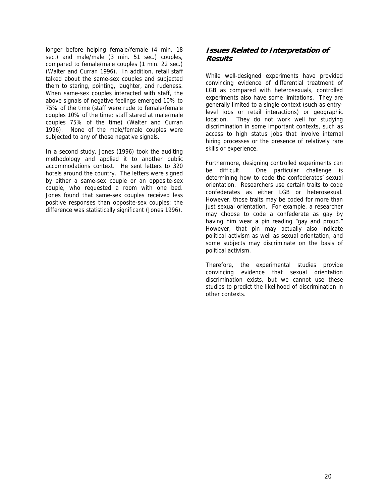<span id="page-24-0"></span>longer before helping female/female (4 min. 18 sec.) and male/male (3 min. 51 sec.) couples, compared to female/male couples (1 min. 22 sec.) (Walter and Curran 1996). In addition, retail staff talked about the same-sex couples and subjected them to staring, pointing, laughter, and rudeness. When same-sex couples interacted with staff, the above signals of negative feelings emerged 10% to 75% of the time (staff were rude to female/female couples 10% of the time; staff stared at male/male couples 75% of the time) (Walter and Curran 1996). None of the male/female couples were subjected to any of those negative signals.

In a second study, Jones (1996) took the auditing methodology and applied it to another public accommodations context. He sent letters to 320 hotels around the country. The letters were signed by either a same-sex couple or an opposite-sex couple, who requested a room with one bed. Jones found that same-sex couples received less positive responses than opposite-sex couples; the difference was statistically significant (Jones 1996).

#### **Issues Related to Interpretation of Results**

While well-designed experiments have provided convincing evidence of differential treatment of LGB as compared with heterosexuals, controlled experiments also have some limitations. They are generally limited to a single context (such as entrylevel jobs or retail interactions) or geographic location. They do not work well for studying discrimination in some important contexts, such as access to high status jobs that involve internal hiring processes or the presence of relatively rare skills or experience.

Furthermore, designing controlled experiments can be difficult. One particular challenge is determining how to code the confederates' sexual orientation. Researchers use certain traits to code confederates as either LGB or heterosexual. However, those traits may be coded for more than just sexual orientation. For example, a researcher may choose to code a confederate as gay by having him wear a pin reading "gay and proud." However, that pin may actually also indicate political activism as well as sexual orientation, and some subjects may discriminate on the basis of political activism.

Therefore, the experimental studies provide convincing evidence that sexual orientation discrimination exists, but we cannot use these studies to predict the likelihood of discrimination in other contexts.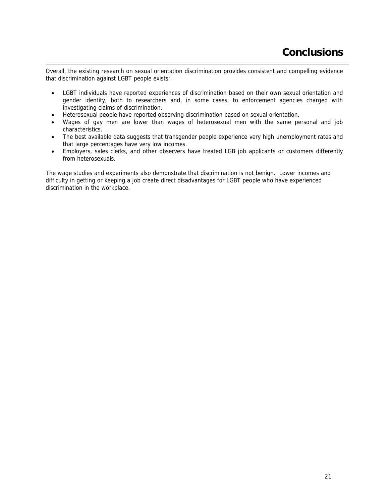<span id="page-25-0"></span>Overall, the existing research on sexual orientation discrimination provides consistent and compelling evidence that discrimination against LGBT people exists:

- LGBT individuals have reported experiences of discrimination based on their own sexual orientation and gender identity, both to researchers and, in some cases, to enforcement agencies charged with investigating claims of discrimination.
- Heterosexual people have reported observing discrimination based on sexual orientation.
- Wages of gay men are lower than wages of heterosexual men with the same personal and job characteristics.
- The best available data suggests that transgender people experience very high unemployment rates and that large percentages have very low incomes.
- Employers, sales clerks, and other observers have treated LGB job applicants or customers differently from heterosexuals.

The wage studies and experiments also demonstrate that discrimination is not benign. Lower incomes and difficulty in getting or keeping a job create direct disadvantages for LGBT people who have experienced discrimination in the workplace.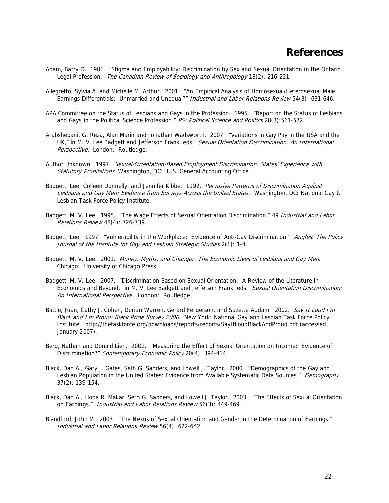- <span id="page-26-0"></span>Adam, Barry D. 1981. "Stigma and Employability: Discrimination by Sex and Sexual Orientation in the Ontario Legal Profession." The Canadian Review of Sociology and Anthropology 18(2): 216-221.
- Allegretto, Sylvia A. and Michelle M. Arthur. 2001. "An Empirical Analysis of Homosexual/Heterosexual Male Earnings Differentials: Unmarried and Unequal?" Industrial and Labor Relations Review 54(3): 631-646.
- APA Committee on the Status of Lesbians and Gays in the Profession. 1995. "Report on the Status of Lesbians and Gays in the Political Science Profession." PS: Political Science and Politics 28(3):561-572.
- Arabshebani, G. Reza, Alan Marin and Jonathan Wadsworth. 2007. "Variations in Gay Pay in the USA and the UK," in M. V. Lee Badgett and Jefferson Frank, eds. Sexual Orientation Discrimination: An International Perspective. London: Routledge.
- Author Unknown. 1997. Sexual-Orientation-Based Employment Discrimination: States' Experience with Statutory Prohibitions. Washington, DC: U.S. General Accounting Office.
- Badgett, Lee, Colleen Donnelly, and Jennifer Kibbe. 1992. Pervasive Patterns of Discrimination Against Lesbians and Gay Men: Evidence from Surveys Across the United States. Washington, DC: National Gay & Lesbian Task Force Policy Institute.
- Badgett, M. V. Lee. 1995. "The Wage Effects of Sexual Orientation Discrimination." 49 Industrial and Labor Relations Review 48(4): 726-739.
- Badgett, Lee. 1997. "Vulnerability in the Workplace: Evidence of Anti-Gay Discrimination." Angles: The Policy Journal of the Institute for Gay and Lesbian Strategic Studies 2(1): 1-4.
- Badgett, M. V. Lee. 2001. Money, Myths, and Change: The Economic Lives of Lesbians and Gay Men. Chicago: University of Chicago Press.
- Badgett, M. V. Lee. 2007. "Discrimination Based on Sexual Orientation: A Review of the Literature in Economics and Beyond," in M. V. Lee Badgett and Jefferson Frank, eds. Sexual Orientation Discrimination: An International Perspective. London: Routledge.
- Battle, Juan, Cathy J. Cohen, Dorian Warren, Gerard Fergerson, and Suzette Audam. 2002. Say It Loud I'm Black and I'm Proud: Black Pride Survey 2000. New York: National Gay and Lesbian Task Force Policy Institute. http://thetaskforce.org/downloads/reports/reports/SayItLoudBlackAndProud.pdf (accessed January 2007).
- Berg, Nathan and Donald Lien. 2002. "Measuring the Effect of Sexual Orientation on Income: Evidence of Discrimination?" Contemporary Economic Policy 20(4): 394-414.
- Black, Dan A., Gary J. Gates, Seth G. Sanders, and Lowell J. Taylor. 2000. "Demographics of the Gay and Lesbian Population in the United States: Evidence from Available Systematic Data Sources." Demography 37(2): 139-154.
- Black, Dan A., Hoda R. Makar, Seth G. Sanders, and Lowell J. Taylor. 2003. "The Effects of Sexual Orientation on Earnings." Industrial and Labor Relations Review 56(3): 449-469.
- Blandford, John M. 2003. "The Nexus of Sexual Orientation and Gender in the Determination of Earnings." Industrial and Labor Relations Review 56(4): 622-642.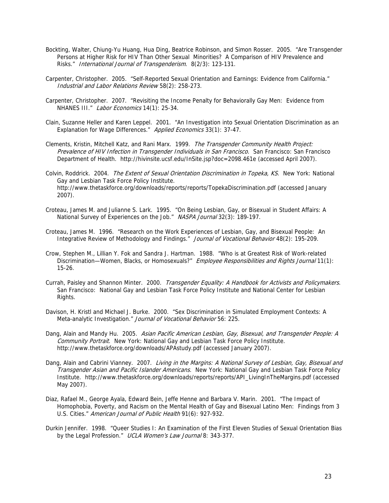- Bockting, Walter, Chiung-Yu Huang, Hua Ding, Beatrice Robinson, and Simon Rosser. 2005. "Are Transgender Persons at Higher Risk for HIV Than Other Sexual Minorities? A Comparison of HIV Prevalence and Risks." International Journal of Transgenderism. 8(2/3): 123-131.
- Carpenter, Christopher. 2005. "Self-Reported Sexual Orientation and Earnings: Evidence from California." Industrial and Labor Relations Review 58(2): 258-273.
- Carpenter, Christopher. 2007. "Revisiting the Income Penalty for Behaviorally Gay Men: Evidence from NHANES III." Labor Economics 14(1): 25-34.
- Clain, Suzanne Heller and Karen Leppel. 2001. "An Investigation into Sexual Orientation Discrimination as an Explanation for Wage Differences." Applied Economics 33(1): 37-47.
- Clements, Kristin, Mitchell Katz, and Rani Marx. 1999. The Transgender Community Health Project: Prevalence of HIV Infection in Transgender Individuals in San Francisco. San Francisco: San Francisco Department of Health. http://hivinsite.ucsf.edu/InSite.jsp?doc=2098.461e (accessed April 2007).
- Colvin, Roddrick. 2004. The Extent of Sexual Orientation Discrimination in Topeka, KS. New York: National Gay and Lesbian Task Force Policy Institute. http://www.thetaskforce.org/downloads/reports/reports/TopekaDiscrimination.pdf (accessed January 2007).
- Croteau, James M. and Julianne S. Lark. 1995. "On Being Lesbian, Gay, or Bisexual in Student Affairs: A National Survey of Experiences on the Job." NASPA Journal 32(3): 189-197.
- Croteau, James M. 1996. "Research on the Work Experiences of Lesbian, Gay, and Bisexual People: An Integrative Review of Methodology and Findings." Journal of Vocational Behavior 48(2): 195-209.
- Crow, Stephen M., Lillian Y. Fok and Sandra J. Hartman. 1988. "Who is at Greatest Risk of Work-related Discrimination—Women, Blacks, or Homosexuals?" Employee Responsibilities and Rights Journal 11(1): 15-26.
- Currah, Paisley and Shannon Minter. 2000. Transgender Equality: A Handbook for Activists and Policymakers. San Francisco: National Gay and Lesbian Task Force Policy Institute and National Center for Lesbian Rights.
- Davison, H. Kristl and Michael J. Burke. 2000. "Sex Discrimination in Simulated Employment Contexts: A Meta-analytic Investigation." Journal of Vocational Behavior 56: 225.
- Dang, Alain and Mandy Hu. 2005. Asian Pacific American Lesbian, Gay, Bisexual, and Transgender People: A Community Portrait. New York: National Gay and Lesbian Task Force Policy Institute. http://www.thetaskforce.org/downloads/APAstudy.pdf (accessed January 2007).
- Dang, Alain and Cabrini Vianney. 2007. Living in the Margins: A National Survey of Lesbian, Gay, Bisexual and Transgender Asian and Pacific Islander Americans. New York: National Gay and Lesbian Task Force Policy Institute. http://www.thetaskforce.org/downloads/reports/reports/API\_LivingInTheMargins.pdf (accessed May 2007).
- Diaz, Rafael M., George Ayala, Edward Bein, Jeffe Henne and Barbara V. Marin. 2001. "The Impact of Homophobia, Poverty, and Racism on the Mental Health of Gay and Bisexual Latino Men: Findings from 3 U.S. Cities." American Journal of Public Health 91(6): 927-932.
- Durkin Jennifer. 1998. "Queer Studies I: An Examination of the First Eleven Studies of Sexual Orientation Bias by the Legal Profession." UCLA Women's Law Journal 8: 343-377.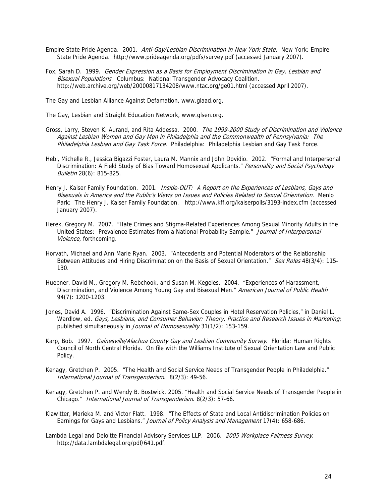- Empire State Pride Agenda. 2001. Anti-Gay/Lesbian Discrimination in New York State. New York: Empire State Pride Agenda. http://www.prideagenda.org/pdfs/survey.pdf (accessed January 2007).
- Fox, Sarah D. 1999. Gender Expression as a Basis for Employment Discrimination in Gay, Lesbian and Bisexual Populations. Columbus: National Transgender Advocacy Coalition. http://web.archive.org/web/20000817134208/www.ntac.org/ge01.html (accessed April 2007).

The Gay and Lesbian Alliance Against Defamation, www.glaad.org.

The Gay, Lesbian and Straight Education Network, www.glsen.org.

- Gross, Larry, Steven K. Aurand, and Rita Addessa. 2000. The 1999-2000 Study of Discrimination and Violence Against Lesbian Women and Gay Men in Philadelphia and the Commonwealth of Pennsylvania: The Philadelphia Lesbian and Gay Task Force. Philadelphia: Philadelphia Lesbian and Gay Task Force.
- Hebl, Michelle R., Jessica Bigazzi Foster, Laura M. Mannix and John Dovidio. 2002. "Formal and Interpersonal Discrimination: A Field Study of Bias Toward Homosexual Applicants." Personality and Social Psychology Bulletin 28(6): 815-825.
- Henry J. Kaiser Family Foundation. 2001. Inside-OUT: A Report on the Experiences of Lesbians, Gays and Bisexuals in America and the Public's Views on Issues and Policies Related to Sexual Orientation. Menlo Park: The Henry J. Kaiser Family Foundation. http://www.kff.org/kaiserpolls/3193-index.cfm (accessed January 2007).
- Herek, Gregory M. 2007. "Hate Crimes and Stigma-Related Experiences Among Sexual Minority Adults in the United States: Prevalence Estimates from a National Probability Sample." Journal of Interpersonal Violence, forthcoming.
- Horvath, Michael and Ann Marie Ryan. 2003. "Antecedents and Potential Moderators of the Relationship Between Attitudes and Hiring Discrimination on the Basis of Sexual Orientation." Sex Roles 48(3/4): 115-130.
- Huebner, David M., Gregory M. Rebchook, and Susan M. Kegeles. 2004. "Experiences of Harassment, Discrimination, and Violence Among Young Gay and Bisexual Men." American Journal of Public Health 94(7): 1200-1203.
- Jones, David A. 1996. "Discrimination Against Same-Sex Couples in Hotel Reservation Policies," in Daniel L. Wardlow, ed. Gays, Lesbians, and Consumer Behavior: Theory, Practice and Research Issues in Marketing; published simultaneously in Journal of Homosexuality 31(1/2): 153-159.
- Karp, Bob. 1997. Gainesville/Alachua County Gay and Lesbian Community Survey. Florida: Human Rights Council of North Central Florida. On file with the Williams Institute of Sexual Orientation Law and Public Policy.
- Kenagy, Gretchen P. 2005. "The Health and Social Service Needs of Transgender People in Philadelphia." International Journal of Transgenderism. 8(2/3): 49-56.
- Kenagy, Gretchen P. and Wendy B. Bostwick. 2005. "Health and Social Service Needs of Transgender People in Chicago." International Journal of Transgenderism. 8(2/3): 57-66.
- Klawitter, Marieka M. and Victor Flatt. 1998. "The Effects of State and Local Antidiscrimination Policies on Earnings for Gays and Lesbians." Journal of Policy Analysis and Management 17(4): 658-686.
- Lambda Legal and Deloitte Financial Advisory Services LLP. 2006. 2005 Workplace Fairness Survey. http://data.lambdalegal.org/pdf/641.pdf.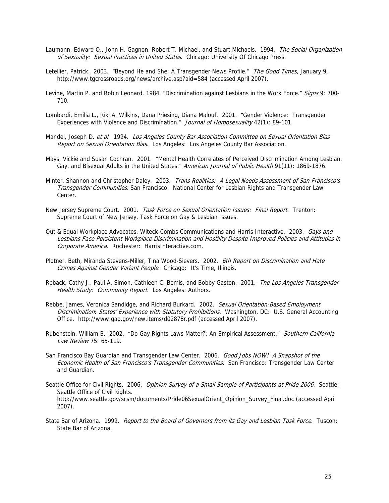- Laumann, Edward O., John H. Gagnon, Robert T. Michael, and Stuart Michaels. 1994. The Social Organization of Sexuality: Sexual Practices in United States. Chicago: University Of Chicago Press.
- Letellier, Patrick. 2003. "Beyond He and She: A Transgender News Profile." The Good Times, January 9. http://www.tgcrossroads.org/news/archive.asp?aid=584 (accessed April 2007).
- Levine, Martin P. and Robin Leonard. 1984. "Discrimination against Lesbians in the Work Force." Signs 9: 700-710.
- Lombardi, Emilia L., Riki A. Wilkins, Dana Priesing, Diana Malouf. 2001. "Gender Violence: Transgender Experiences with Violence and Discrimination." Journal of Homosexuality 42(1): 89-101.
- Mandel, Joseph D. et al. 1994. Los Angeles County Bar Association Committee on Sexual Orientation Bias Report on Sexual Orientation Bias. Los Angeles: Los Angeles County Bar Association.
- Mays, Vickie and Susan Cochran. 2001. "Mental Health Correlates of Perceived Discrimination Among Lesbian, Gay, and Bisexual Adults in the United States." American Journal of Public Health 91(11): 1869-1876.
- Minter, Shannon and Christopher Daley. 2003. Trans Realities: A Legal Needs Assessment of San Francisco's Transgender Communities. San Francisco: National Center for Lesbian Rights and Transgender Law Center.
- New Jersey Supreme Court. 2001. Task Force on Sexual Orientation Issues: Final Report. Trenton: Supreme Court of New Jersey, Task Force on Gay & Lesbian Issues.
- Out & Equal Workplace Advocates, Witeck-Combs Communications and Harris Interactive. 2003. Gays and Lesbians Face Persistent Workplace Discrimination and Hostility Despite Improved Policies and Attitudes in Corporate America. Rochester: HarrisInteractive.com.
- Plotner, Beth, Miranda Stevens-Miller, Tina Wood-Sievers. 2002. 6th Report on Discrimination and Hate Crimes Against Gender Variant People. Chicago: It's Time, Illinois.
- Reback, Cathy J., Paul A. Simon, Cathleen C. Bemis, and Bobby Gaston. 2001. The Los Angeles Transgender Health Study: Community Report. Los Angeles: Authors.
- Rebbe, James, Veronica Sandidge, and Richard Burkard. 2002. Sexual Orientation-Based Employment Discrimination: States' Experience with Statutory Prohibitions. Washington, DC: U.S. General Accounting Office. http://www.gao.gov/new.items/d02878r.pdf (accessed April 2007).
- Rubenstein, William B. 2002. "Do Gay Rights Laws Matter?: An Empirical Assessment." Southern California Law Review 75: 65-119.
- San Francisco Bay Guardian and Transgender Law Center. 2006. Good Jobs NOW! A Snapshot of the Economic Health of San Francisco's Transgender Communities. San Francisco: Transgender Law Center and Guardian.
- Seattle Office for Civil Rights. 2006. Opinion Survey of a Small Sample of Participants at Pride 2006. Seattle: Seattle Office of Civil Rights. http://www.seattle.gov/scsm/documents/Pride06SexualOrient\_Opinion\_Survey\_Final.doc (accessed April 2007).
- State Bar of Arizona. 1999. Report to the Board of Governors from its Gay and Lesbian Task Force. Tuscon: State Bar of Arizona.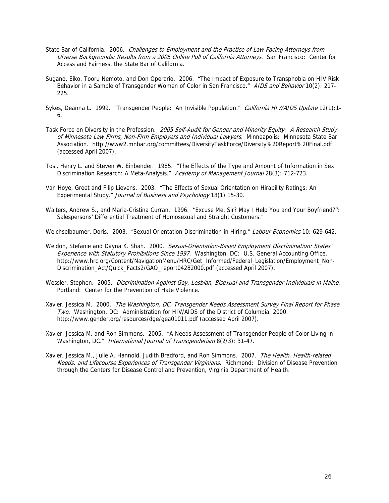- State Bar of California. 2006. Challenges to Employment and the Practice of Law Facing Attorneys from Diverse Backgrounds: Results from a 2005 Online Poll of California Attorneys. San Francisco: Center for Access and Fairness, the State Bar of California.
- Sugano, Eiko, Tooru Nemoto, and Don Operario. 2006. "The Impact of Exposure to Transphobia on HIV Risk Behavior in a Sample of Transgender Women of Color in San Francisco." AIDS and Behavior 10(2): 217-225.
- Sykes, Deanna L. 1999. "Transgender People: An Invisible Population." California HIV/AIDS Update 12(1):1-6.
- Task Force on Diversity in the Profession. 2005 Self-Audit for Gender and Minority Equity: A Research Study of Minnesota Law Firms, Non-Firm Employers and Individual Lawyers. Minneapolis: Minnesota State Bar Association. http://www2.mnbar.org/committees/DiversityTaskForce/Diversity%20Report%20Final.pdf (accessed April 2007).
- Tosi, Henry L. and Steven W. Einbender. 1985. "The Effects of the Type and Amount of Information in Sex Discrimination Research: A Meta-Analysis." Academy of Management Journal 28(3): 712-723.
- Van Hoye, Greet and Filip Lievens. 2003. "The Effects of Sexual Orientation on Hirability Ratings: An Experimental Study." Journal of Business and Psychology 18(1) 15-30.
- Walters, Andrew S., and Maria-Cristina Curran. 1996. ''Excuse Me, Sir? May I Help You and Your Boyfriend?'': Salespersons' Differential Treatment of Homosexual and Straight Customers."

Weichselbaumer, Doris. 2003. "Sexual Orientation Discrimination in Hiring." Labour Economics 10: 629-642.

- Weldon, Stefanie and Dayna K. Shah. 2000. Sexual-Orientation-Based Employment Discrimination: States' Experience with Statutory Prohibitions Since 1997. Washington, DC: U.S. General Accounting Office. http://www.hrc.org/Content/NavigationMenu/HRC/Get\_Informed/Federal\_Legislation/Employment\_Non-Discrimination\_Act/Quick\_Facts2/GAO\_report04282000.pdf (accessed April 2007).
- Wessler, Stephen. 2005. Discrimination Against Gay, Lesbian, Bisexual and Transgender Individuals in Maine. Portland: Center for the Prevention of Hate Violence.
- Xavier, Jessica M. 2000. The Washington, DC. Transgender Needs Assessment Survey Final Report for Phase Two. Washington, DC: Administration for HIV/AIDS of the District of Columbia. 2000. http://www.gender.org/resources/dge/gea01011.pdf (accessed April 2007).
- Xavier, Jessica M. and Ron Simmons. 2005. "A Needs Assessment of Transgender People of Color Living in Washington, DC." International Journal of Transgenderism 8(2/3): 31-47.
- Xavier, Jessica M., Julie A. Hannold, Judith Bradford, and Ron Simmons. 2007. The Health, Health-related Needs, and Lifecourse Experiences of Transgender Virginians. Richmond: Division of Disease Prevention through the Centers for Disease Control and Prevention, Virginia Department of Health.